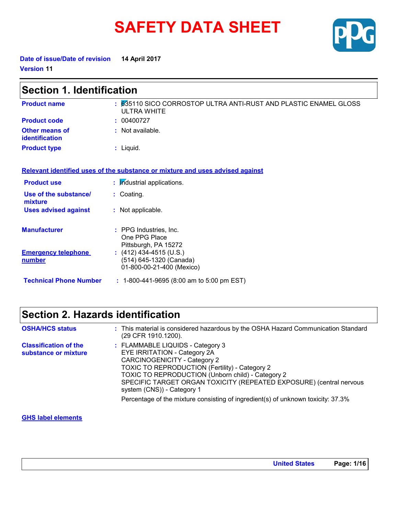# **SAFETY DATA SHEET**



**Date of issue/Date of revision 14 April 2017 Version 11**

| <b>Section 1. Identification</b>     |                                                                                        |  |
|--------------------------------------|----------------------------------------------------------------------------------------|--|
| <b>Product name</b>                  | : 635110 SICO CORROSTOP ULTRA ANTI-RUST AND PLASTIC ENAMEL GLOSS<br><b>ULTRA WHITE</b> |  |
| <b>Product code</b>                  | : 00400727                                                                             |  |
| Other means of<br>identification     | : Not available.                                                                       |  |
| <b>Product type</b>                  | $:$ Liquid.                                                                            |  |
|                                      | Relevant identified uses of the substance or mixture and uses advised against          |  |
| <b>Product use</b>                   | : Industrial applications.                                                             |  |
| Use of the substance/<br>mixture     | : Coating.                                                                             |  |
| <b>Uses advised against</b>          | : Not applicable.                                                                      |  |
| <b>Manufacturer</b>                  | : PPG Industries, Inc.<br>One PPG Place<br>Pittsburgh, PA 15272                        |  |
| <b>Emergency telephone</b><br>number | : $(412)$ 434-4515 (U.S.)<br>(514) 645-1320 (Canada)<br>01-800-00-21-400 (Mexico)      |  |
| <b>Technical Phone Number</b>        | $: 1-800-441-9695 (8:00 am to 5:00 pm EST)$                                            |  |

# **Section 2. Hazards identification**

| <b>OSHA/HCS status</b>                               | : This material is considered hazardous by the OSHA Hazard Communication Standard<br>(29 CFR 1910.1200).                                                                                                                                                                                                            |
|------------------------------------------------------|---------------------------------------------------------------------------------------------------------------------------------------------------------------------------------------------------------------------------------------------------------------------------------------------------------------------|
| <b>Classification of the</b><br>substance or mixture | : FLAMMABLE LIQUIDS - Category 3<br>EYE IRRITATION - Category 2A<br><b>CARCINOGENICITY - Category 2</b><br>TOXIC TO REPRODUCTION (Fertility) - Category 2<br>TOXIC TO REPRODUCTION (Unborn child) - Category 2<br>SPECIFIC TARGET ORGAN TOXICITY (REPEATED EXPOSURE) (central nervous<br>system (CNS)) - Category 1 |
|                                                      | Percentage of the mixture consisting of ingredient(s) of unknown toxicity: 37.3%                                                                                                                                                                                                                                    |

#### **GHS label elements**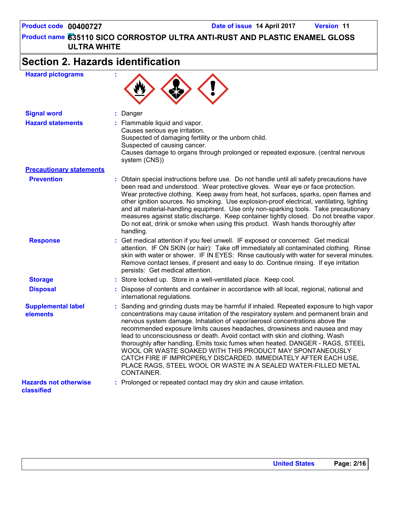# **Section 2. Hazards identification**

| <b>Hazard pictograms</b> |  |
|--------------------------|--|
|--------------------------|--|



| <b>Signal word</b>                         | : Danger                                                                                                                                                                                                                                                                                                                                                                                                                                                                                                                                                                                                                                                                                                                        |
|--------------------------------------------|---------------------------------------------------------------------------------------------------------------------------------------------------------------------------------------------------------------------------------------------------------------------------------------------------------------------------------------------------------------------------------------------------------------------------------------------------------------------------------------------------------------------------------------------------------------------------------------------------------------------------------------------------------------------------------------------------------------------------------|
| <b>Hazard statements</b>                   | : Flammable liquid and vapor.<br>Causes serious eye irritation.<br>Suspected of damaging fertility or the unborn child.<br>Suspected of causing cancer.<br>Causes damage to organs through prolonged or repeated exposure. (central nervous<br>system (CNS))                                                                                                                                                                                                                                                                                                                                                                                                                                                                    |
| <b>Precautionary statements</b>            |                                                                                                                                                                                                                                                                                                                                                                                                                                                                                                                                                                                                                                                                                                                                 |
| <b>Prevention</b>                          | : Obtain special instructions before use. Do not handle until all safety precautions have<br>been read and understood. Wear protective gloves. Wear eye or face protection.<br>Wear protective clothing. Keep away from heat, hot surfaces, sparks, open flames and<br>other ignition sources. No smoking. Use explosion-proof electrical, ventilating, lighting<br>and all material-handling equipment. Use only non-sparking tools. Take precautionary<br>measures against static discharge. Keep container tightly closed. Do not breathe vapor.<br>Do not eat, drink or smoke when using this product. Wash hands thoroughly after<br>handling.                                                                             |
| <b>Response</b>                            | : Get medical attention if you feel unwell. IF exposed or concerned: Get medical<br>attention. IF ON SKIN (or hair): Take off immediately all contaminated clothing. Rinse<br>skin with water or shower. IF IN EYES: Rinse cautiously with water for several minutes.<br>Remove contact lenses, if present and easy to do. Continue rinsing. If eye irritation<br>persists: Get medical attention.                                                                                                                                                                                                                                                                                                                              |
| <b>Storage</b>                             | : Store locked up. Store in a well-ventilated place. Keep cool.                                                                                                                                                                                                                                                                                                                                                                                                                                                                                                                                                                                                                                                                 |
| <b>Disposal</b>                            | : Dispose of contents and container in accordance with all local, regional, national and<br>international regulations.                                                                                                                                                                                                                                                                                                                                                                                                                                                                                                                                                                                                          |
| <b>Supplemental label</b><br>elements      | : Sanding and grinding dusts may be harmful if inhaled. Repeated exposure to high vapor<br>concentrations may cause irritation of the respiratory system and permanent brain and<br>nervous system damage. Inhalation of vapor/aerosol concentrations above the<br>recommended exposure limits causes headaches, drowsiness and nausea and may<br>lead to unconsciousness or death. Avoid contact with skin and clothing. Wash<br>thoroughly after handling. Emits toxic fumes when heated. DANGER - RAGS, STEEL<br>WOOL OR WASTE SOAKED WITH THIS PRODUCT MAY SPONTANEOUSLY<br>CATCH FIRE IF IMPROPERLY DISCARDED. IMMEDIATELY AFTER EACH USE,<br>PLACE RAGS, STEEL WOOL OR WASTE IN A SEALED WATER-FILLED METAL<br>CONTAINER. |
| <b>Hazards not otherwise</b><br>classified | : Prolonged or repeated contact may dry skin and cause irritation.                                                                                                                                                                                                                                                                                                                                                                                                                                                                                                                                                                                                                                                              |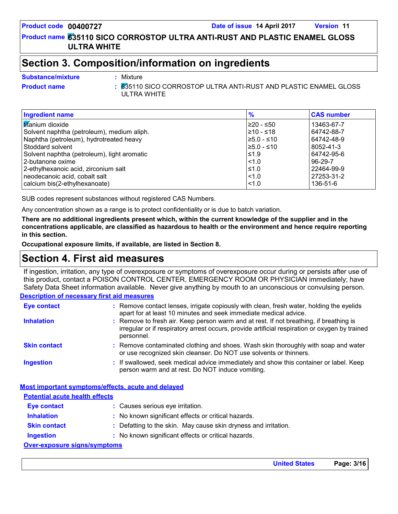**635110 SICO CORROSTOP ULTRA ANTI-RUST AND PLASTIC ENAMEL GLOSS Product name ULTRA WHITE**

### **Section 3. Composition/information on ingredients**

Mixture

#### **Substance/mixture :**

**Product name** 635110 SICO CORROSTOP ULTRA ANTI-RUST AND PLASTIC ENAMEL GLOSS **:** ULTRA WHITE

| Ingredient name                             | $\frac{9}{6}$    | <b>CAS number</b> |
|---------------------------------------------|------------------|-------------------|
| <b>Ititanium</b> dioxide                    | 220 - ≤50        | 13463-67-7        |
| Solvent naphtha (petroleum), medium aliph.  | l≥10 - ≤18       | 64742-88-7        |
| Naphtha (petroleum), hydrotreated heavy     | $\geq 5.0 - 510$ | 64742-48-9        |
| Stoddard solvent                            | $≥5.0 - ≤10$     | 8052-41-3         |
| Solvent naphtha (petroleum), light aromatic | ≤1.9             | 64742-95-6        |
| l 2-butanone oxime                          | $ $ < 1.0        | $96 - 29 - 7$     |
| 2-ethylhexanoic acid, zirconium salt        | $\leq 1.0$       | 22464-99-9        |
| neodecanoic acid, cobalt salt               | $ $ < 1.0        | 27253-31-2        |
| calcium bis(2-ethylhexanoate)               | $ $ < 1.0        | 136-51-6          |

SUB codes represent substances without registered CAS Numbers.

Any concentration shown as a range is to protect confidentiality or is due to batch variation.

**There are no additional ingredients present which, within the current knowledge of the supplier and in the concentrations applicable, are classified as hazardous to health or the environment and hence require reporting in this section.**

**Occupational exposure limits, if available, are listed in Section 8.**

### **Section 4. First aid measures**

If ingestion, irritation, any type of overexposure or symptoms of overexposure occur during or persists after use of this product, contact a POISON CONTROL CENTER, EMERGENCY ROOM OR PHYSICIAN immediately; have Safety Data Sheet information available. Never give anything by mouth to an unconscious or convulsing person.

#### **Description of necessary first aid measures**

| Eye contact                                        | : Remove contact lenses, irrigate copiously with clean, fresh water, holding the eyelids<br>apart for at least 10 minutes and seek immediate medical advice.                                           |
|----------------------------------------------------|--------------------------------------------------------------------------------------------------------------------------------------------------------------------------------------------------------|
| <b>Inhalation</b>                                  | : Remove to fresh air. Keep person warm and at rest. If not breathing, if breathing is<br>irregular or if respiratory arrest occurs, provide artificial respiration or oxygen by trained<br>personnel. |
| <b>Skin contact</b>                                | : Remove contaminated clothing and shoes. Wash skin thoroughly with soap and water<br>or use recognized skin cleanser. Do NOT use solvents or thinners.                                                |
| <b>Ingestion</b>                                   | : If swallowed, seek medical advice immediately and show this container or label. Keep<br>person warm and at rest. Do NOT induce vomiting.                                                             |
| Most important symptoms/effects, acute and delayed |                                                                                                                                                                                                        |
| <b>Potential acute health effects</b>              |                                                                                                                                                                                                        |
| Eye contact                                        | : Causes serious eye irritation.                                                                                                                                                                       |
| <b>Inhalation</b>                                  | : No known significant effects or critical hazards.                                                                                                                                                    |
| <b>Skin contact</b>                                | : Defatting to the skin. May cause skin dryness and irritation.                                                                                                                                        |

**Ingestion :** : No known significant effects or critical hazards.

#### **Over-exposure signs/symptoms**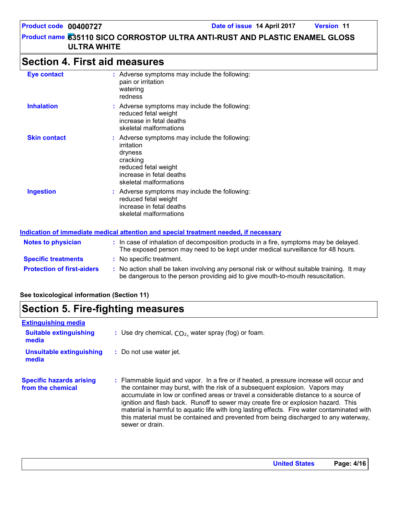# **Section 4. First aid measures**

| <b>Eye contact</b>  | : Adverse symptoms may include the following:<br>pain or irritation<br>watering<br>redness                                                                       |
|---------------------|------------------------------------------------------------------------------------------------------------------------------------------------------------------|
| <b>Inhalation</b>   | : Adverse symptoms may include the following:<br>reduced fetal weight<br>increase in fetal deaths<br>skeletal malformations                                      |
| <b>Skin contact</b> | : Adverse symptoms may include the following:<br>irritation<br>dryness<br>cracking<br>reduced fetal weight<br>increase in fetal deaths<br>skeletal malformations |
| <b>Ingestion</b>    | : Adverse symptoms may include the following:<br>reduced fetal weight<br>increase in fetal deaths<br>skeletal malformations                                      |

sewer or drain.

#### **Protection of first-aiders** : No action shall be taken involving any personal risk or without suitable training. It may be dangerous to the person providing aid to give mouth-to-mouth resuscitation. **Notes to physician :** In case of inhalation of decomposition products in a fire, symptoms may be delayed. The exposed person may need to be kept under medical surveillance for 48 hours. **Specific treatments :** No specific treatment. **Indication of immediate medical attention and special treatment needed, if necessary**

#### **See toxicological information (Section 11)**

| <b>Section 5. Fire-fighting measures</b>             |                                                                                                                                                                                                                                                                  |  |  |
|------------------------------------------------------|------------------------------------------------------------------------------------------------------------------------------------------------------------------------------------------------------------------------------------------------------------------|--|--|
| <b>Extinguishing media</b>                           |                                                                                                                                                                                                                                                                  |  |  |
| <b>Suitable extinguishing</b><br>media               | : Use dry chemical, $CO2$ , water spray (fog) or foam.                                                                                                                                                                                                           |  |  |
| <b>Unsuitable extinguishing</b><br>media             | : Do not use water jet.                                                                                                                                                                                                                                          |  |  |
| <b>Specific hazards arising</b><br>from the chemical | : Flammable liquid and vapor. In a fire or if heated, a pressure increase will occur and<br>the container may burst, with the risk of a subsequent explosion. Vapors may<br>accumulate in low or confined areas or travel a considerable distance to a source of |  |  |

ignition and flash back. Runoff to sewer may create fire or explosion hazard. This material is harmful to aquatic life with long lasting effects. Fire water contaminated with this material must be contained and prevented from being discharged to any waterway,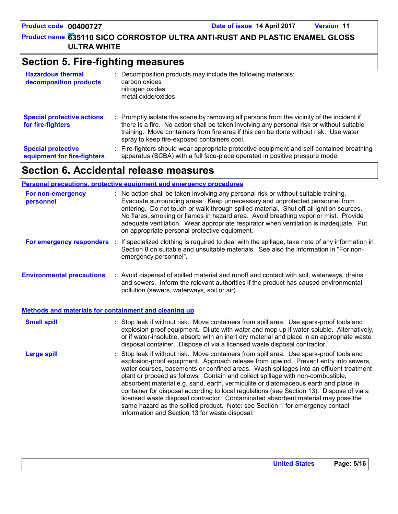# **Section 5. Fire-fighting measures**

| <b>Hazardous thermal</b><br>decomposition products       | Decomposition products may include the following materials:<br>carbon oxides<br>nitrogen oxides<br>metal oxide/oxides                                                                                                                                                                                                         |
|----------------------------------------------------------|-------------------------------------------------------------------------------------------------------------------------------------------------------------------------------------------------------------------------------------------------------------------------------------------------------------------------------|
| <b>Special protective actions</b><br>for fire-fighters   | : Promptly isolate the scene by removing all persons from the vicinity of the incident if<br>there is a fire. No action shall be taken involving any personal risk or without suitable<br>training. Move containers from fire area if this can be done without risk. Use water<br>spray to keep fire-exposed containers cool. |
| <b>Special protective</b><br>equipment for fire-fighters | : Fire-fighters should wear appropriate protective equipment and self-contained breathing<br>apparatus (SCBA) with a full face-piece operated in positive pressure mode.                                                                                                                                                      |

# **Section 6. Accidental release measures**

#### **Personal precautions, protective equipment and emergency procedures**

| For non-emergency<br>personnel                        | : No action shall be taken involving any personal risk or without suitable training.<br>Evacuate surrounding areas. Keep unnecessary and unprotected personnel from<br>entering. Do not touch or walk through spilled material. Shut off all ignition sources.<br>No flares, smoking or flames in hazard area. Avoid breathing vapor or mist. Provide<br>adequate ventilation. Wear appropriate respirator when ventilation is inadequate. Put<br>on appropriate personal protective equipment.                                                                                                                                                                                                                                                                      |  |
|-------------------------------------------------------|----------------------------------------------------------------------------------------------------------------------------------------------------------------------------------------------------------------------------------------------------------------------------------------------------------------------------------------------------------------------------------------------------------------------------------------------------------------------------------------------------------------------------------------------------------------------------------------------------------------------------------------------------------------------------------------------------------------------------------------------------------------------|--|
| For emergency responders                              | : If specialized clothing is required to deal with the spillage, take note of any information in<br>Section 8 on suitable and unsuitable materials. See also the information in "For non-<br>emergency personnel".                                                                                                                                                                                                                                                                                                                                                                                                                                                                                                                                                   |  |
| <b>Environmental precautions</b>                      | : Avoid dispersal of spilled material and runoff and contact with soil, waterways, drains<br>and sewers. Inform the relevant authorities if the product has caused environmental<br>pollution (sewers, waterways, soil or air).                                                                                                                                                                                                                                                                                                                                                                                                                                                                                                                                      |  |
| Methods and materials for containment and cleaning up |                                                                                                                                                                                                                                                                                                                                                                                                                                                                                                                                                                                                                                                                                                                                                                      |  |
| <b>Small spill</b>                                    | : Stop leak if without risk. Move containers from spill area. Use spark-proof tools and<br>explosion-proof equipment. Dilute with water and mop up if water-soluble. Alternatively,<br>or if water-insoluble, absorb with an inert dry material and place in an appropriate waste<br>disposal container. Dispose of via a licensed waste disposal contractor.                                                                                                                                                                                                                                                                                                                                                                                                        |  |
| <b>Large spill</b>                                    | : Stop leak if without risk. Move containers from spill area. Use spark-proof tools and<br>explosion-proof equipment. Approach release from upwind. Prevent entry into sewers,<br>water courses, basements or confined areas. Wash spillages into an effluent treatment<br>plant or proceed as follows. Contain and collect spillage with non-combustible,<br>absorbent material e.g. sand, earth, vermiculite or diatomaceous earth and place in<br>container for disposal according to local regulations (see Section 13). Dispose of via a<br>licensed waste disposal contractor. Contaminated absorbent material may pose the<br>same hazard as the spilled product. Note: see Section 1 for emergency contact<br>information and Section 13 for waste disposal. |  |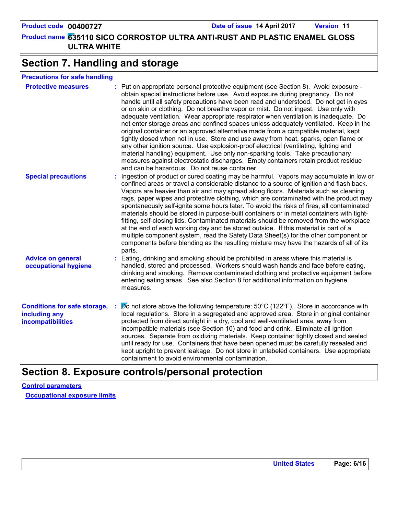**635110 SICO CORROSTOP ULTRA ANTI-RUST AND PLASTIC ENAMEL GLOSS Product name ULTRA WHITE Product code 00400727 Date of issue 14 April 2017 Version 11**

# **Section 7. Handling and storage**

| <b>Precautions for safe handling</b> |  |
|--------------------------------------|--|
|--------------------------------------|--|

| <b>Protective measures</b>                                                       | : Put on appropriate personal protective equipment (see Section 8). Avoid exposure -<br>obtain special instructions before use. Avoid exposure during pregnancy. Do not<br>handle until all safety precautions have been read and understood. Do not get in eyes<br>or on skin or clothing. Do not breathe vapor or mist. Do not ingest. Use only with<br>adequate ventilation. Wear appropriate respirator when ventilation is inadequate. Do<br>not enter storage areas and confined spaces unless adequately ventilated. Keep in the<br>original container or an approved alternative made from a compatible material, kept<br>tightly closed when not in use. Store and use away from heat, sparks, open flame or<br>any other ignition source. Use explosion-proof electrical (ventilating, lighting and<br>material handling) equipment. Use only non-sparking tools. Take precautionary<br>measures against electrostatic discharges. Empty containers retain product residue<br>and can be hazardous. Do not reuse container. |
|----------------------------------------------------------------------------------|---------------------------------------------------------------------------------------------------------------------------------------------------------------------------------------------------------------------------------------------------------------------------------------------------------------------------------------------------------------------------------------------------------------------------------------------------------------------------------------------------------------------------------------------------------------------------------------------------------------------------------------------------------------------------------------------------------------------------------------------------------------------------------------------------------------------------------------------------------------------------------------------------------------------------------------------------------------------------------------------------------------------------------------|
| <b>Special precautions</b>                                                       | : Ingestion of product or cured coating may be harmful. Vapors may accumulate in low or<br>confined areas or travel a considerable distance to a source of ignition and flash back.<br>Vapors are heavier than air and may spread along floors. Materials such as cleaning<br>rags, paper wipes and protective clothing, which are contaminated with the product may<br>spontaneously self-ignite some hours later. To avoid the risks of fires, all contaminated<br>materials should be stored in purpose-built containers or in metal containers with tight-<br>fitting, self-closing lids. Contaminated materials should be removed from the workplace<br>at the end of each working day and be stored outside. If this material is part of a<br>multiple component system, read the Safety Data Sheet(s) for the other component or<br>components before blending as the resulting mixture may have the hazards of all of its<br>parts.                                                                                           |
| <b>Advice on general</b><br>occupational hygiene                                 | : Eating, drinking and smoking should be prohibited in areas where this material is<br>handled, stored and processed. Workers should wash hands and face before eating,<br>drinking and smoking. Remove contaminated clothing and protective equipment before<br>entering eating areas. See also Section 8 for additional information on hygiene<br>measures.                                                                                                                                                                                                                                                                                                                                                                                                                                                                                                                                                                                                                                                                         |
| <b>Conditions for safe storage,</b><br>including any<br><b>incompatibilities</b> | $\cancel{p}$ o not store above the following temperature: 50°C (122°F). Store in accordance with<br>local regulations. Store in a segregated and approved area. Store in original container<br>protected from direct sunlight in a dry, cool and well-ventilated area, away from<br>incompatible materials (see Section 10) and food and drink. Eliminate all ignition<br>sources. Separate from oxidizing materials. Keep container tightly closed and sealed<br>until ready for use. Containers that have been opened must be carefully resealed and<br>kept upright to prevent leakage. Do not store in unlabeled containers. Use appropriate<br>containment to avoid environmental contamination.                                                                                                                                                                                                                                                                                                                                 |
|                                                                                  |                                                                                                                                                                                                                                                                                                                                                                                                                                                                                                                                                                                                                                                                                                                                                                                                                                                                                                                                                                                                                                       |

## **Section 8. Exposure controls/personal protection**

**Control parameters Occupational exposure limits**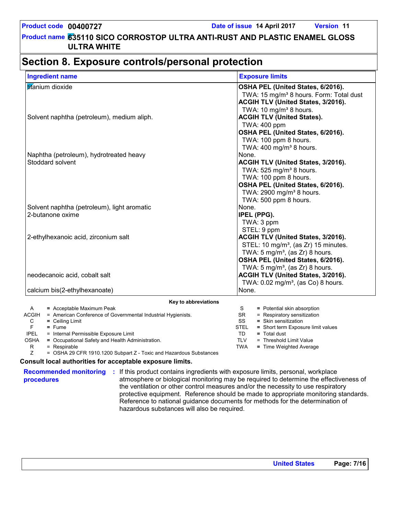# **Section 8. Exposure controls/personal protection**

| <b>Ingredient name</b>                                                | <b>Exposure limits</b>                                                   |
|-----------------------------------------------------------------------|--------------------------------------------------------------------------|
| titanium dioxide                                                      | OSHA PEL (United States, 6/2016).                                        |
|                                                                       | TWA: 15 mg/m <sup>3</sup> 8 hours. Form: Total dust                      |
|                                                                       | ACGIH TLV (United States, 3/2016).                                       |
|                                                                       | TWA: 10 mg/m <sup>3</sup> 8 hours.                                       |
| Solvent naphtha (petroleum), medium aliph.                            | <b>ACGIH TLV (United States).</b>                                        |
|                                                                       | TWA: 400 ppm                                                             |
|                                                                       | OSHA PEL (United States, 6/2016).                                        |
|                                                                       | TWA: 100 ppm 8 hours.                                                    |
|                                                                       | TWA: 400 mg/m <sup>3</sup> 8 hours.                                      |
| Naphtha (petroleum), hydrotreated heavy                               | None.                                                                    |
| Stoddard solvent                                                      | ACGIH TLV (United States, 3/2016).                                       |
|                                                                       | TWA: 525 mg/m <sup>3</sup> 8 hours.                                      |
|                                                                       | TWA: 100 ppm 8 hours.                                                    |
|                                                                       | OSHA PEL (United States, 6/2016).                                        |
|                                                                       | TWA: 2900 mg/m <sup>3</sup> 8 hours.                                     |
|                                                                       | TWA: 500 ppm 8 hours.                                                    |
| Solvent naphtha (petroleum), light aromatic                           | None.                                                                    |
| 2-butanone oxime                                                      | IPEL (PPG).                                                              |
|                                                                       | TWA: 3 ppm                                                               |
|                                                                       | STEL: 9 ppm                                                              |
| 2-ethylhexanoic acid, zirconium salt                                  | <b>ACGIH TLV (United States, 3/2016).</b>                                |
|                                                                       | STEL: 10 mg/m <sup>3</sup> , (as Zr) 15 minutes.                         |
|                                                                       | TWA: $5 \text{ mg/m}^3$ , (as Zr) 8 hours.                               |
|                                                                       | OSHA PEL (United States, 6/2016).                                        |
|                                                                       | TWA: 5 mg/m <sup>3</sup> , (as $Zr$ ) 8 hours.                           |
| neodecanoic acid, cobalt salt                                         | ACGIH TLV (United States, 3/2016).                                       |
|                                                                       | TWA: $0.02 \text{ mg/m}^3$ , (as Co) 8 hours.                            |
| calcium bis(2-ethylhexanoate)                                         | None.                                                                    |
| Key to abbreviations                                                  |                                                                          |
| = Acceptable Maximum Peak<br>A                                        | = Potential skin absorption<br>S                                         |
| ACGIH<br>= American Conference of Governmental Industrial Hygienists. | <b>SR</b><br>= Respiratory sensitization<br>SS<br>$=$ Skin sensitization |
| $=$ Ceiling Limit<br>С<br>F<br>$=$ Fume                               | <b>STEL</b><br>= Short term Exposure limit values                        |

F **=** Fume

IPEL = Internal Permissible Exposure Limit

OSHA **=** Occupational Safety and Health Administration.

 $R = Respirable$ <br> $Z = OSHA 29 C$ 

= OSHA 29 CFR 1910.1200 Subpart Z - Toxic and Hazardous Substances

#### **Consult local authorities for acceptable exposure limits.**

**procedures**

**Recommended monitoring :** If this product contains ingredients with exposure limits, personal, workplace atmosphere or biological monitoring may be required to determine the effectiveness of the ventilation or other control measures and/or the necessity to use respiratory protective equipment. Reference should be made to appropriate monitoring standards. Reference to national guidance documents for methods for the determination of hazardous substances will also be required.

TD **=** Total dust

TLV = Threshold Limit Value TWA **=** Time Weighted Average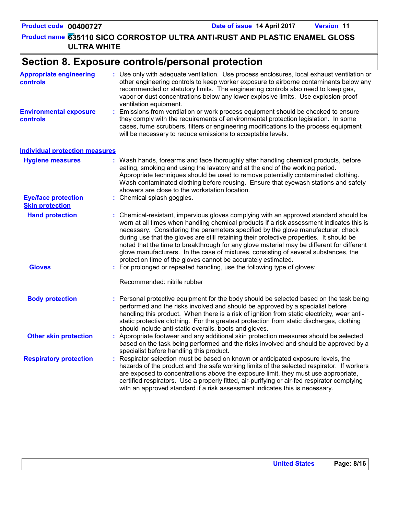**635110 SICO CORROSTOP ULTRA ANTI-RUST AND PLASTIC ENAMEL GLOSS Product name ULTRA WHITE**

# **Section 8. Exposure controls/personal protection**

| <b>Appropriate engineering</b><br>controls           | : Use only with adequate ventilation. Use process enclosures, local exhaust ventilation or<br>other engineering controls to keep worker exposure to airborne contaminants below any<br>recommended or statutory limits. The engineering controls also need to keep gas,<br>vapor or dust concentrations below any lower explosive limits. Use explosion-proof<br>ventilation equipment.                                                                                                                                                                                                                                |
|------------------------------------------------------|------------------------------------------------------------------------------------------------------------------------------------------------------------------------------------------------------------------------------------------------------------------------------------------------------------------------------------------------------------------------------------------------------------------------------------------------------------------------------------------------------------------------------------------------------------------------------------------------------------------------|
| <b>Environmental exposure</b><br>controls            | Emissions from ventilation or work process equipment should be checked to ensure<br>t.<br>they comply with the requirements of environmental protection legislation. In some<br>cases, fume scrubbers, filters or engineering modifications to the process equipment<br>will be necessary to reduce emissions to acceptable levels.                                                                                                                                                                                                                                                                                    |
| <b>Individual protection measures</b>                |                                                                                                                                                                                                                                                                                                                                                                                                                                                                                                                                                                                                                        |
| <b>Hygiene measures</b>                              | : Wash hands, forearms and face thoroughly after handling chemical products, before<br>eating, smoking and using the lavatory and at the end of the working period.<br>Appropriate techniques should be used to remove potentially contaminated clothing.<br>Wash contaminated clothing before reusing. Ensure that eyewash stations and safety<br>showers are close to the workstation location.                                                                                                                                                                                                                      |
| <b>Eye/face protection</b><br><b>Skin protection</b> | : Chemical splash goggles.                                                                                                                                                                                                                                                                                                                                                                                                                                                                                                                                                                                             |
| <b>Hand protection</b>                               | : Chemical-resistant, impervious gloves complying with an approved standard should be<br>worn at all times when handling chemical products if a risk assessment indicates this is<br>necessary. Considering the parameters specified by the glove manufacturer, check<br>during use that the gloves are still retaining their protective properties. It should be<br>noted that the time to breakthrough for any glove material may be different for different<br>glove manufacturers. In the case of mixtures, consisting of several substances, the<br>protection time of the gloves cannot be accurately estimated. |
| <b>Gloves</b>                                        | : For prolonged or repeated handling, use the following type of gloves:<br>Recommended: nitrile rubber                                                                                                                                                                                                                                                                                                                                                                                                                                                                                                                 |
| <b>Body protection</b>                               | : Personal protective equipment for the body should be selected based on the task being<br>performed and the risks involved and should be approved by a specialist before<br>handling this product. When there is a risk of ignition from static electricity, wear anti-<br>static protective clothing. For the greatest protection from static discharges, clothing<br>should include anti-static overalls, boots and gloves.                                                                                                                                                                                         |
| <b>Other skin protection</b>                         | : Appropriate footwear and any additional skin protection measures should be selected<br>based on the task being performed and the risks involved and should be approved by a<br>specialist before handling this product.                                                                                                                                                                                                                                                                                                                                                                                              |
| <b>Respiratory protection</b>                        | Respirator selection must be based on known or anticipated exposure levels, the<br>hazards of the product and the safe working limits of the selected respirator. If workers<br>are exposed to concentrations above the exposure limit, they must use appropriate,<br>certified respirators. Use a properly fitted, air-purifying or air-fed respirator complying<br>with an approved standard if a risk assessment indicates this is necessary.                                                                                                                                                                       |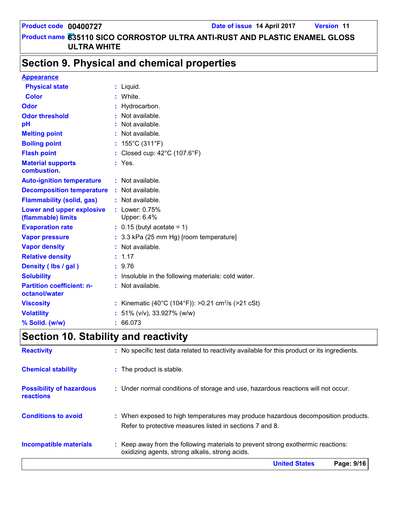# **Section 9. Physical and chemical properties**

| <b>Appearance</b>                                 |                                                                |
|---------------------------------------------------|----------------------------------------------------------------|
| <b>Physical state</b>                             | $:$ Liquid.                                                    |
| <b>Color</b>                                      | : White.                                                       |
| Odor                                              | : Hydrocarbon.                                                 |
| <b>Odor threshold</b>                             | Not available.                                                 |
| pH                                                | : Not available.                                               |
| <b>Melting point</b>                              | : Not available.                                               |
| <b>Boiling point</b>                              | : $155^{\circ}$ C (311 $^{\circ}$ F)                           |
| <b>Flash point</b>                                | : Closed cup: 42°C (107.6°F)                                   |
| <b>Material supports</b><br>combustion.           | $:$ Yes.                                                       |
| <b>Auto-ignition temperature</b>                  | : Not available.                                               |
| <b>Decomposition temperature</b>                  | : Not available.                                               |
| <b>Flammability (solid, gas)</b>                  | : Not available.                                               |
| Lower and upper explosive<br>(flammable) limits   | : Lower: $0.75%$<br>Upper: 6.4%                                |
| <b>Evaporation rate</b>                           | $\therefore$ 0.15 (butyl acetate = 1)                          |
| <b>Vapor pressure</b>                             | : 3.3 kPa (25 mm Hg) [room temperature]                        |
| <b>Vapor density</b>                              | : Not available.                                               |
| <b>Relative density</b>                           | : 1.17                                                         |
| Density (Ibs / gal)                               | : 9.76                                                         |
| <b>Solubility</b>                                 | : Insoluble in the following materials: cold water.            |
| <b>Partition coefficient: n-</b><br>octanol/water | : Not available.                                               |
| <b>Viscosity</b>                                  | : Kinematic (40°C (104°F)): >0.21 cm <sup>2</sup> /s (>21 cSt) |
| <b>Volatility</b>                                 | : 51% ( $v/v$ ), 33.927% ( $w/w$ )                             |
| % Solid. (w/w)                                    | : 66.073                                                       |

# **Section 10. Stability and reactivity**

|                                              | Page: 9/16<br><b>United States</b>                                                                                                            |  |  |
|----------------------------------------------|-----------------------------------------------------------------------------------------------------------------------------------------------|--|--|
| <b>Incompatible materials</b>                | : Keep away from the following materials to prevent strong exothermic reactions:<br>oxidizing agents, strong alkalis, strong acids.           |  |  |
| <b>Conditions to avoid</b>                   | : When exposed to high temperatures may produce hazardous decomposition products.<br>Refer to protective measures listed in sections 7 and 8. |  |  |
| <b>Possibility of hazardous</b><br>reactions | : Under normal conditions of storage and use, hazardous reactions will not occur.                                                             |  |  |
| <b>Chemical stability</b>                    | : The product is stable.                                                                                                                      |  |  |
| <b>Reactivity</b>                            | : No specific test data related to reactivity available for this product or its ingredients.                                                  |  |  |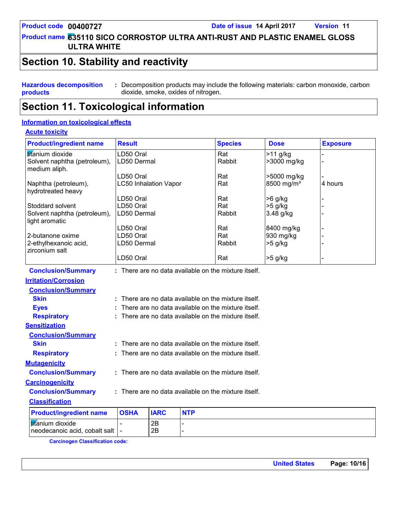**635110 SICO CORROSTOP ULTRA ANTI-RUST AND PLASTIC ENAMEL GLOSS Product name ULTRA WHITE**

### **Section 10. Stability and reactivity**

**Hazardous decomposition products :** Decomposition products may include the following materials: carbon monoxide, carbon dioxide, smoke, oxides of nitrogen.

### **Section 11. Toxicological information**

#### **Information on toxicological effects**

#### **Acute toxicity**

| <b>Product/ingredient name</b>                 | <b>Result</b>                                          | <b>Species</b> | <b>Dose</b>            | <b>Exposure</b> |
|------------------------------------------------|--------------------------------------------------------|----------------|------------------------|-----------------|
| titanium dioxide                               | LD50 Oral                                              | Rat            | $>11$ g/kg             |                 |
| Solvent naphtha (petroleum),<br>medium aliph.  | LD50 Dermal                                            | Rabbit         | >3000 mg/kg            |                 |
|                                                | LD50 Oral                                              | Rat            | >5000 mg/kg            |                 |
| Naphtha (petroleum),<br>hydrotreated heavy     | <b>LC50 Inhalation Vapor</b>                           | Rat            | 8500 mg/m <sup>3</sup> | 4 hours         |
|                                                | LD50 Oral                                              | Rat            | $>6$ g/kg              |                 |
| Stoddard solvent                               | LD50 Oral                                              | Rat            | $>5$ g/kg              |                 |
| Solvent naphtha (petroleum),<br>light aromatic | LD50 Dermal                                            | Rabbit         | $3.48$ g/kg            |                 |
|                                                | LD50 Oral                                              | Rat            | 8400 mg/kg             |                 |
| 2-butanone oxime                               | LD50 Oral                                              | Rat            | 930 mg/kg              |                 |
| 2-ethylhexanoic acid,<br>zirconium salt        | LD50 Dermal                                            | Rabbit         | $>5$ g/kg              |                 |
|                                                | LD50 Oral                                              | Rat            | $>5$ g/kg              |                 |
| <b>Conclusion/Summary</b>                      | : There are no data available on the mixture itself.   |                |                        |                 |
| <b>Irritation/Corrosion</b>                    |                                                        |                |                        |                 |
| <b>Conclusion/Summary</b>                      |                                                        |                |                        |                 |
| <b>Skin</b>                                    | There are no data available on the mixture itself.     |                |                        |                 |
| <b>Eyes</b>                                    | There are no data available on the mixture itself.     |                |                        |                 |
| <b>Respiratory</b>                             | $:$ There are no data available on the mixture itself. |                |                        |                 |

| <b>Classification</b>                                          |             |             |            |
|----------------------------------------------------------------|-------------|-------------|------------|
| <b>Product/ingredient name</b>                                 | <b>OSHA</b> | <b>IARC</b> | <b>NTP</b> |
| <b>If</b> anium dioxide<br>  neodecanoic acid, cobalt salt   - |             | 2B<br>2Β    |            |

There are no data available on the mixture itself.

There are no data available on the mixture itself.

There are no data available on the mixture itself.

**Skin Example 20 EXEC 2018 :** There are no data available on the mixture itself.

**Carcinogen Classification code:**

**Carcinogenicity**

**Respiratory :**

**Mutagenicity**

**Sensitization**

**Conclusion/Summary :**

**Conclusion/Summary :**

**Conclusion/Summary**

**United States Page: 10/16**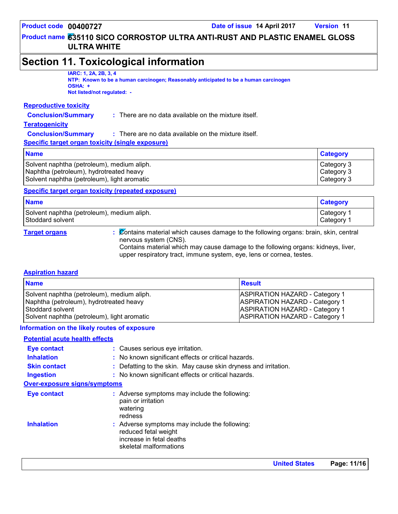**Category**

#### **635110 SICO CORROSTOP ULTRA ANTI-RUST AND PLASTIC ENAMEL GLOSS Product name ULTRA WHITE**

### **Section 11. Toxicological information**

#### **IARC: 1, 2A, 2B, 3, 4**

**NTP: Known to be a human carcinogen; Reasonably anticipated to be a human carcinogen OSHA: +**

**Not listed/not regulated: -**

#### **Reproductive toxicity**

| <b>Conclusion/Summary</b><br>There are no data available on the mixture itself. |
|---------------------------------------------------------------------------------|
|---------------------------------------------------------------------------------|

#### **Teratogenicity**

| <b>Conclusion/Summary</b> | $:$ There are no data available on the mixture itself. |
|---------------------------|--------------------------------------------------------|
|---------------------------|--------------------------------------------------------|

**Specific target organ toxicity (single exposure)**

#### **Name**

Solvent naphtha (petroleum), medium aliph. Category 3 Naphtha (petroleum), hydrotreated heavy Category 3 Solvent naphtha (petroleum), light aromatic Category 3

#### **Specific target organ toxicity (repeated exposure)**

| <b>Name</b>                                | <b>Category</b>       |
|--------------------------------------------|-----------------------|
| Solvent naphtha (petroleum), medium aliph. | Category <sup>2</sup> |
| Stoddard solvent                           | Category              |

**Target organs :** Contains material which causes damage to the following organs: brain, skin, central nervous system (CNS).

Contains material which may cause damage to the following organs: kidneys, liver, upper respiratory tract, immune system, eye, lens or cornea, testes.

#### **Aspiration hazard**

| <b>Name</b>                                 | <b>Result</b>                         |
|---------------------------------------------|---------------------------------------|
| Solvent naphtha (petroleum), medium aliph.  | <b>ASPIRATION HAZARD - Category 1</b> |
| Naphtha (petroleum), hydrotreated heavy     | <b>ASPIRATION HAZARD - Category 1</b> |
| Stoddard solvent                            | ASPIRATION HAZARD - Category 1        |
| Solvent naphtha (petroleum), light aromatic | <b>ASPIRATION HAZARD - Category 1</b> |

#### **Information on the likely routes of exposure**

#### **Potential acute health effects**

|                                     | <b>Halled Olates</b>                                                                                                        | в., |
|-------------------------------------|-----------------------------------------------------------------------------------------------------------------------------|-----|
| <b>Inhalation</b>                   | : Adverse symptoms may include the following:<br>reduced fetal weight<br>increase in fetal deaths<br>skeletal malformations |     |
|                                     | pain or irritation<br>watering<br>redness                                                                                   |     |
| <b>Eye contact</b>                  | : Adverse symptoms may include the following:                                                                               |     |
| <b>Over-exposure signs/symptoms</b> |                                                                                                                             |     |
| <b>Ingestion</b>                    | : No known significant effects or critical hazards.                                                                         |     |
| <b>Skin contact</b>                 | : Defatting to the skin. May cause skin dryness and irritation.                                                             |     |
| <b>Inhalation</b>                   | : No known significant effects or critical hazards.                                                                         |     |
| <b>Eye contact</b>                  | : Causes serious eye irritation.                                                                                            |     |
|                                     |                                                                                                                             |     |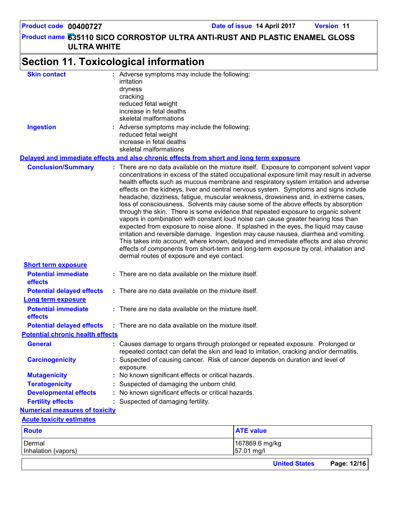**635110 SICO CORROSTOP ULTRA ANTI-RUST AND PLASTIC ENAMEL GLOSS Product name ULTRA WHITE Product code 00400727 Date of issue 14 April 2017 Version 11 Section 11. Toxicological information Conclusion/Summary : General : Carcinogenicity : Mutagenicity : Teratogenicity : Developmental effects : Fertility effects : Potential chronic health effects Delayed and immediate effects and also chronic effects from short and long term exposure Numerical measures of toxicity** Dermal 167869.6 mg/kg Inhalation (vapors) 57.01 mg/l **Route ATE value Acute toxicity estimates Potential immediate effects :** There are no data available on the mixture itself. **Short term exposure Potential delayed effects : Potential immediate effects :** There are no data available on the mixture itself. **Long term exposure Potential delayed effects : Skin contact Ingestion Conservent Conserverse symptoms may include the following:** reduced fetal weight increase in fetal deaths skeletal malformations Adverse symptoms may include the following: **:** irritation dryness cracking reduced fetal weight increase in fetal deaths skeletal malformations Suspected of causing cancer. Risk of cancer depends on duration and level of exposure. There are no data available on the mixture itself. Exposure to component solvent vapor concentrations in excess of the stated occupational exposure limit may result in adverse health effects such as mucous membrane and respiratory system irritation and adverse effects on the kidneys, liver and central nervous system. Symptoms and signs include headache, dizziness, fatigue, muscular weakness, drowsiness and, in extreme cases, loss of consciousness. Solvents may cause some of the above effects by absorption through the skin. There is some evidence that repeated exposure to organic solvent vapors in combination with constant loud noise can cause greater hearing loss than expected from exposure to noise alone. If splashed in the eyes, the liquid may cause irritation and reversible damage. Ingestion may cause nausea, diarrhea and vomiting. This takes into account, where known, delayed and immediate effects and also chronic effects of components from short-term and long-term exposure by oral, inhalation and dermal routes of exposure and eye contact. Causes damage to organs through prolonged or repeated exposure. Prolonged or repeated contact can defat the skin and lead to irritation, cracking and/or dermatitis. Suspected of damaging the unborn child. : No known significant effects or critical hazards. : No known significant effects or critical hazards. : Suspected of damaging fertility. There are no data available on the mixture itself. There are no data available on the mixture itself.

**United States Page: 12/16**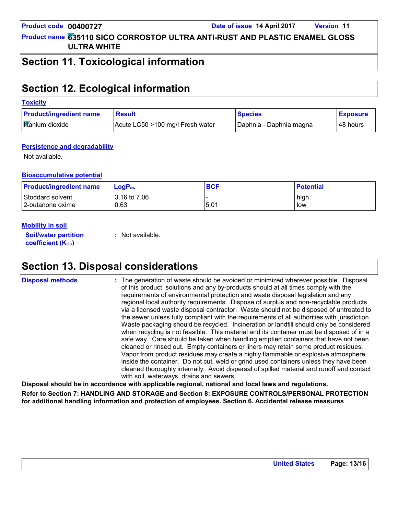### **Section 11. Toxicological information**

# **Section 12. Ecological information**

#### **Toxicity**

| <b>Product/ingredient name</b> | <b>Result</b>                    | <b>Species</b>          | <b>Exposure</b> |
|--------------------------------|----------------------------------|-------------------------|-----------------|
| <b>Itifanium</b> dioxide       | Acute LC50 >100 mg/l Fresh water | Daphnia - Daphnia magna | ∣48 hours       |

#### **Persistence and degradability**

Not available.

#### **Bioaccumulative potential**

| <b>Product/ingredient name</b> | $LoaPow$     | <b>BCF</b> | <b>Potential</b> |
|--------------------------------|--------------|------------|------------------|
| Stoddard solvent               | 3.16 to 7.06 | 5.01       | high             |
| l 2-butanone oxime             | 0.63         |            | low              |

#### **Mobility in soil**

**Soil/water partition coefficient (K**<sup>oc</sup>)

**:** Not available.

### **Section 13. Disposal considerations**

**Disposal methods :**

The generation of waste should be avoided or minimized wherever possible. Disposal of this product, solutions and any by-products should at all times comply with the requirements of environmental protection and waste disposal legislation and any regional local authority requirements. Dispose of surplus and non-recyclable products via a licensed waste disposal contractor. Waste should not be disposed of untreated to the sewer unless fully compliant with the requirements of all authorities with jurisdiction. Waste packaging should be recycled. Incineration or landfill should only be considered when recycling is not feasible. This material and its container must be disposed of in a safe way. Care should be taken when handling emptied containers that have not been cleaned or rinsed out. Empty containers or liners may retain some product residues. Vapor from product residues may create a highly flammable or explosive atmosphere inside the container. Do not cut, weld or grind used containers unless they have been cleaned thoroughly internally. Avoid dispersal of spilled material and runoff and contact with soil, waterways, drains and sewers.

**Disposal should be in accordance with applicable regional, national and local laws and regulations. Refer to Section 7: HANDLING AND STORAGE and Section 8: EXPOSURE CONTROLS/PERSONAL PROTECTION for additional handling information and protection of employees. Section 6. Accidental release measures**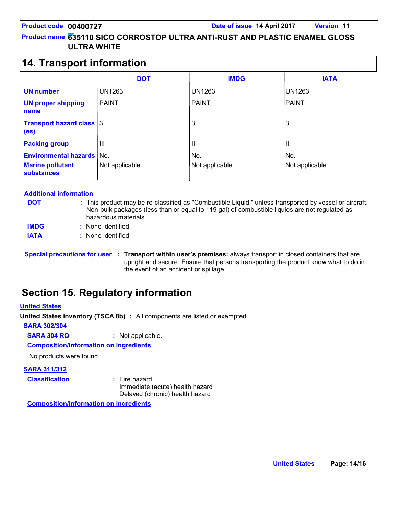### **14. Transport information**

|                                                                              | <b>DOT</b>             | <b>IMDG</b>            | <b>IATA</b>            |  |
|------------------------------------------------------------------------------|------------------------|------------------------|------------------------|--|
| <b>UN number</b>                                                             | <b>UN1263</b>          | <b>UN1263</b>          | <b>UN1263</b>          |  |
| <b>UN proper shipping</b><br>name                                            | <b>PAINT</b>           | <b>PAINT</b>           | PAINT                  |  |
| <b>Transport hazard class 3</b><br>(e <sub>s</sub> )                         |                        | 3                      | 3                      |  |
| <b>Packing group</b>                                                         | III                    | Ш                      | $\mathbf{III}$         |  |
| <b>Environmental hazards</b><br><b>Marine pollutant</b><br><b>substances</b> | No.<br>Not applicable. | No.<br>Not applicable. | No.<br>Not applicable. |  |

#### **Additional information**

**DOT**

This product may be re-classified as "Combustible Liquid," unless transported by vessel or aircraft. **:** Non-bulk packages (less than or equal to 119 gal) of combustible liquids are not regulated as hazardous materials.

- None identified. **: IMDG**
- **IATA :** None identified.

# **Section 15. Regulatory information**

#### **United States**

**United States inventory (TSCA 8b) :** All components are listed or exempted.

**SARA 302/304**

**SARA 304 RQ :** Not applicable.

**Composition/information on ingredients**

No products were found.

#### **SARA 311/312**

**Classification :** Fire hazard

Immediate (acute) health hazard Delayed (chronic) health hazard

**Composition/information on ingredients**

**Special precautions for user Transport within user's premises:** always transport in closed containers that are **:** upright and secure. Ensure that persons transporting the product know what to do in the event of an accident or spillage.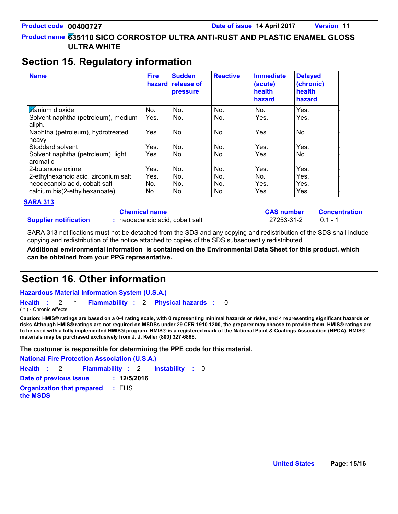### **Section 15. Regulatory information**

| <b>Name</b>                                    | <b>Fire</b> | <b>Sudden</b><br>hazard release of<br>pressure | <b>Reactive</b> | <b>Immediate</b><br>(acute)<br>health<br>hazard | <b>Delayed</b><br>(chronic)<br>health<br>hazard |
|------------------------------------------------|-------------|------------------------------------------------|-----------------|-------------------------------------------------|-------------------------------------------------|
| <b>Ititanium</b> dioxide                       | No.         | No.                                            | No.             | No.                                             | Yes.                                            |
| Solvent naphtha (petroleum), medium<br>aliph.  | Yes.        | No.                                            | No.             | Yes.                                            | Yes.                                            |
| Naphtha (petroleum), hydrotreated<br>heavy     | Yes.        | No.                                            | No.             | Yes.                                            | No.                                             |
| Stoddard solvent                               | Yes.        | No.                                            | No.             | Yes.                                            | Yes.                                            |
| Solvent naphtha (petroleum), light<br>aromatic | Yes.        | No.                                            | No.             | Yes.                                            | No.                                             |
| 2-butanone oxime                               | Yes.        | No.                                            | No.             | Yes.                                            | Yes.                                            |
| 2-ethylhexanoic acid, zirconium salt           | Yes.        | No.                                            | No.             | No.                                             | Yes.                                            |
| neodecanoic acid, cobalt salt                  | No.         | No.                                            | No.             | Yes.                                            | Yes.                                            |
| calcium bis(2-ethylhexanoate)                  | No.         | No.                                            | No.             | Yes.                                            | Yes.                                            |

#### **SARA 313**

**Supplier notification**

### **Chemical name**

**:** neodecanoic acid, cobalt salt 27253-31-2 0.1 - 1

**CAS number Concentration**

SARA 313 notifications must not be detached from the SDS and any copying and redistribution of the SDS shall include copying and redistribution of the notice attached to copies of the SDS subsequently redistributed.

**Additional environmental information is contained on the Environmental Data Sheet for this product, which can be obtained from your PPG representative.**

# **Section 16. Other information**

**Hazardous Material Information System (U.S.A.)**

**Health** : 2 \* **Flammability** : 2 **Physical hazards** : 0 0

( \* ) - Chronic effects

**Caution: HMIS® ratings are based on a 0-4 rating scale, with 0 representing minimal hazards or risks, and 4 representing significant hazards or risks Although HMIS® ratings are not required on MSDSs under 29 CFR 1910.1200, the preparer may choose to provide them. HMIS® ratings are to be used with a fully implemented HMIS® program. HMIS® is a registered mark of the National Paint & Coatings Association (NPCA). HMIS® materials may be purchased exclusively from J. J. Keller (800) 327-6868.**

**The customer is responsible for determining the PPE code for this material.**

**Instability** : 0 **National Fire Protection Association (U.S.A.) Health**: 2 **Flammability**: 2 **Instability**: 0 **Date of previous issue : 12/5/2016 Organization that prepared the MSDS :** EHS